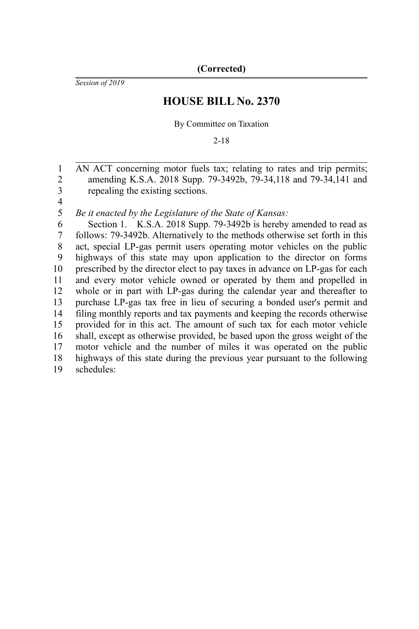*Session of 2019*

# **HOUSE BILL No. 2370**

By Committee on Taxation

2-18

AN ACT concerning motor fuels tax; relating to rates and trip permits; amending K.S.A. 2018 Supp. 79-3492b, 79-34,118 and 79-34,141 and repealing the existing sections. 1 2 3

4

*Be it enacted by the Legislature of the State of Kansas:* 5

Section 1. K.S.A. 2018 Supp. 79-3492b is hereby amended to read as follows: 79-3492b. Alternatively to the methods otherwise set forth in this act, special LP-gas permit users operating motor vehicles on the public highways of this state may upon application to the director on forms prescribed by the director elect to pay taxes in advance on LP-gas for each and every motor vehicle owned or operated by them and propelled in whole or in part with LP-gas during the calendar year and thereafter to purchase LP-gas tax free in lieu of securing a bonded user's permit and filing monthly reports and tax payments and keeping the records otherwise provided for in this act. The amount of such tax for each motor vehicle shall, except as otherwise provided, be based upon the gross weight of the motor vehicle and the number of miles it was operated on the public highways of this state during the previous year pursuant to the following schedules: 6 7 8 9 10 11 12 13 14 15 16 17 18 19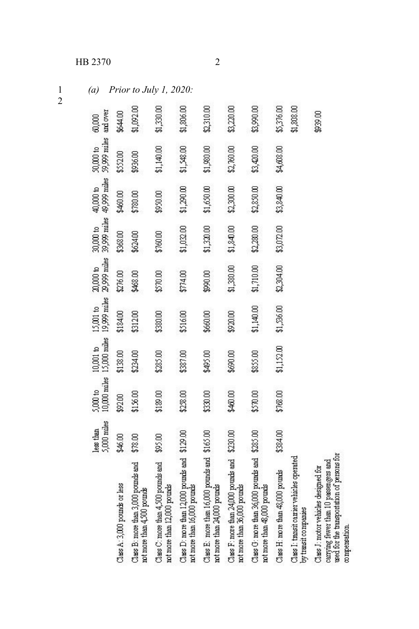### HB 2370

(a) Prior to July 1, 2020:

|                                                                                                                                               | 5,000 miles<br>less than | $5,000$ to | 10,000 miles 15,000 miles<br>$10,001$ to | 19,999 miles<br>15,001 to | 29,999 miles<br>20,000 to | 39,999 miles<br>$30,000$ to | 49,999 miles<br>40,000 to | 59,999 miles<br>50,000 to | and over<br>60,000 |
|-----------------------------------------------------------------------------------------------------------------------------------------------|--------------------------|------------|------------------------------------------|---------------------------|---------------------------|-----------------------------|---------------------------|---------------------------|--------------------|
| Class A: 3,000 pounds or less                                                                                                                 | \$46.00                  | \$92.00    | \$138.00                                 | \$184.00                  | \$276.00                  | \$368.00                    | \$460.00                  | \$552.00                  | \$644.00           |
| Class B: more than 3,000 pounds and<br>rot more than 4,500 pounds                                                                             | \$78.00                  | \$156.00   | \$234.00                                 | \$312.00                  | \$468.00                  | \$624.00                    | \$780.00                  | \$936.00                  | \$1,092.00         |
| Class C: more than 4,500 pounds and<br>not more than 12,000 pounds                                                                            | \$95.00                  | \$189.00   | \$285.00                                 | \$380.00                  | \$570.00                  | \$760.00                    | \$950.00                  | \$1,140.00                | \$1,330.00         |
| Class D: more than 12,000 pounds and \$129.00<br>rot more than 16,000 pourds                                                                  |                          | \$238.00   | \$387.00                                 | \$516.00                  | \$774.00                  | \$1,032.00                  | \$1,290.00                | \$1,548.00                | \$1,806.00         |
| Class E: more than 16,000 pounds and \$165.00<br>ret more than 24,000 pourds                                                                  |                          | \$330.00   | \$495.00                                 | \$660.00                  | \$90.00                   | \$1,320.00                  | \$1,650.00                | \$1,980.00                | \$2,310.00         |
| Class F: more than 24,000 pounds and \$230.00<br>rot more than 36,000 pourds                                                                  |                          | \$460.00   | \$690.00                                 | \$920.00                  | \$1,380.00                | \$1,840.00                  | \$2,300.00                | \$2,760.00                | \$3,220,00         |
| Class G: more than 36,000 pounds and \$285.00<br>not more than 48,000 pounds                                                                  |                          | \$570.00   | \$855.00                                 | \$1,140.00                | \$1,710.00                | \$2,280.00                  | 2,850.00                  | \$3,420.00                | \$3,990.00         |
| Class H: more than 48,000 pounds                                                                                                              | \$384.00                 | \$768.00   | \$1,152.00                               | \$1,536.00                | \$2,304.00                | \$3,072.00                  | \$3,840.00                | \$4,608.00                | \$5,376.00         |
| Class I: transit carrier vehicles operated<br>by transit companies                                                                            |                          |            |                                          |                           |                           |                             |                           |                           | \$1,808.00         |
| used for the transportation of persons for<br>carrying fewer than 10 passengers and<br>Class J: motor vehicles designed for<br>correpersation |                          |            |                                          |                           |                           |                             |                           |                           | \$239.00           |

 $\overline{2}$ 

 $\mathbf{1}$  $\overline{2}$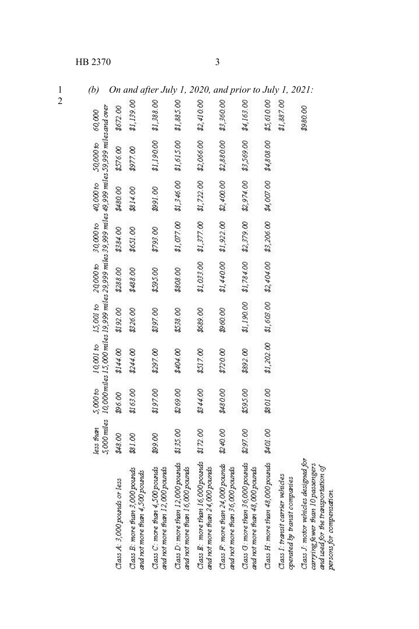# HB 2370 3

*(b) On and after July 1, 2020, and prior to July 1, 2021:*

|                                                                                                                                              | less than |          | 5,000 miles   10,000 miles 15,000 miles 19,999 miles 29,999 miles 39,999 miles 49,999 miles 59,999 miles and over<br>5,000 to 10,001 to 15,001 to 20,000 to 30,000 to 40,000 to 50,000 60,000 |            |          |                                                        |                                             |                       |            |
|----------------------------------------------------------------------------------------------------------------------------------------------|-----------|----------|-----------------------------------------------------------------------------------------------------------------------------------------------------------------------------------------------|------------|----------|--------------------------------------------------------|---------------------------------------------|-----------------------|------------|
| Class A: 3,000 pounds or less                                                                                                                | \$48.00   | 200.00   | \$144.00                                                                                                                                                                                      | \$192.00   | \$288.00 | \$384.00                                               | \$480.00                                    | \$576.00              | \$672.00   |
| Class B: more than 3,000 pounds<br>and not more than 4,500 pounds                                                                            | \$81.00   | \$163.00 | \$244.00                                                                                                                                                                                      | \$226.00   | \$488.00 | \$651.00                                               | 8314.00                                     | \$977.00              | \$1,139.00 |
| Class C: more than 4,500 pounds<br>and not more than 12,000 pounds                                                                           | 89.00     | \$197.00 | \$297.00                                                                                                                                                                                      | \$397.00   | \$595.00 | \$793.00                                               | 00 1600                                     | \$1,190.00            | \$1,388.00 |
| Class D: more than 12,000 pounds<br>and not more than 16,000 pounds                                                                          | \$135.00  | \$269.00 | \$404.00                                                                                                                                                                                      | \$538.00   | \$808.00 |                                                        | \$1,077.00 \$1,346.00 \$1,615.00 \$1,885.00 |                       |            |
| Class E: more than 16,000 pounds<br>and not more than 24,000 pounds                                                                          | \$172.00  | \$344.00 | \$517.00                                                                                                                                                                                      | \$689.00   |          | $$1,033.00$ $$1,377.00$                                | \$1,722.00                                  | \$2,066.00            | \$2,410.00 |
| Class F: more than 24,000 pounds<br>and not more than 36,000 pounds                                                                          | \$240.00  | 2480.00  | 8720.00                                                                                                                                                                                       | 00.09      |          | \$1,440.00 \$1,922.00 \$2,400.00 \$2,880.00 \$3,360.00 |                                             |                       |            |
| Class G: more than 36,000 pounds<br>and not more than 48,000 pounds                                                                          | 297.00    | \$595.00 | \$892.00                                                                                                                                                                                      | \$1,190.00 |          | $$1,784.00$ $$2,379.00$                                | \$2,974.00                                  | \$3,569.00            | \$4,163.00 |
| Class H: more than 48,000 pounds                                                                                                             | \$401.00  | \$801.00 | \$1,202,00                                                                                                                                                                                    |            |          | $$1,603.00$ $$2,404.00$ $$3,206.00$                    |                                             | \$4,007.00 \$4,808.00 | \$5,610.00 |
| Class I: transit carrier vehicles<br>operated by transit companies                                                                           |           |          |                                                                                                                                                                                               |            |          |                                                        |                                             |                       | \$1,887.00 |
| Class J: motor vehicles designed for<br>carrying fewer than 10 passengers<br>and used for the transportation of<br>persons for compensation. |           |          |                                                                                                                                                                                               |            |          |                                                        |                                             |                       | \$980.00   |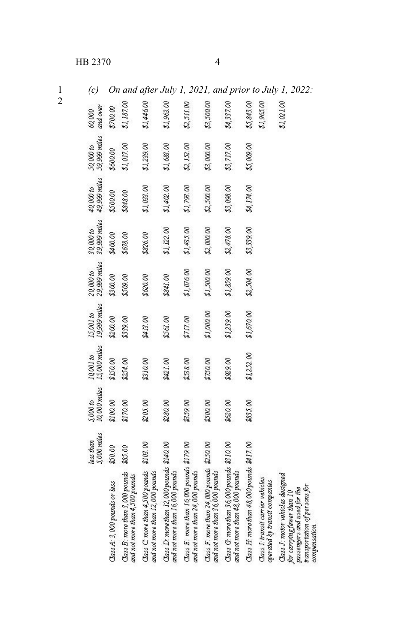# HB 2370 4

 $\frac{1}{2}$ 

1 *(c) On and after July 1, 2021, and prior to July 1, 2022:*

|                                                                                                                                                 | 5,000 miles<br>less than | 10,000 miles<br>5,000 to | 15,000 miles<br>10001 to | 15,001 to<br>19,999 miles | 29,999 miles<br>20,000 to | 39,999 miles<br>30,000 to | 49,999 miles<br>40,000 to | 59,999 miles<br>50,000 to | and over<br>60,000 |
|-------------------------------------------------------------------------------------------------------------------------------------------------|--------------------------|--------------------------|--------------------------|---------------------------|---------------------------|---------------------------|---------------------------|---------------------------|--------------------|
| Class A: 3,000 pounds or less                                                                                                                   | L000                     | \$100.00                 | \$150.00                 | \$200.00                  | \$300.00                  | \$400.00                  | \$500.00                  | \$600.00                  | \$700.00           |
| Class B: more than 3,000 pounds<br>and not more than 4,500 pounds                                                                               | \$85.00                  | \$170.00                 | \$254.00                 | \$339.00                  | \$509.00                  | \$678.00                  | \$848.00                  | \$1,017.00                | \$1,187.00         |
| Class C more than 4,500 pounds \$103.00<br>and not more than 12,000 pounds                                                                      |                          | \$205.00                 | \$310.00                 | \$413.00                  | \$620.00                  | \$826.00                  | \$1,033.00                | \$1,239.00                | \$1,44600          |
| Class D: more than 12,000 pounds \$140.00<br>and not more than 16,000 pounds                                                                    |                          | 2280.00                  | \$421.00                 | \$561.00                  | \$841.00                  | \$1, 122.00               | \$1,402.00                | \$1,683.00                | \$1,963.00         |
| Class $E$ : more than $16,000$ pounds $$179,00$<br>and not more than 24,000 pounds                                                              |                          | \$39.00                  | \$338.00                 | \$717.00                  | \$1,076.00                | \$1,435.00                | \$1,793.00                | \$2,122.00                | \$2,511.00         |
| Class F: more than 24,000 pounds \$250.00<br>and not more than 36,000 pounds                                                                    |                          | \$500.00                 | \$250.00                 | \$1,000.00                | \$1,500.00                | \$2,000.00                | \$2,500.00                | \$3,000.00                | \$3,500.00         |
| Class G: more than 36,000 pounds \$310.00<br>and not more than 48,000 pounds                                                                    |                          | \$620.00                 | \$29.00                  | \$1,239.00                | \$1,859.00                | \$2,478.00                | \$3,098.00                | \$3,717.00                | \$4,337.00         |
| Class H: more than 48,000 pounds \$417.00                                                                                                       |                          | \$835.00                 | \$1,252.00               | \$1,670.00                | \$2,504.00                | \$3,339.00                | \$4,174.00                | \$5,009.00                | \$5,843.00         |
| Class I: transit carrier vehicles<br>operated by transit companies                                                                              |                          |                          |                          |                           |                           |                           |                           |                           | \$1,965.00         |
| Class J: motor vehicles designed<br>transportation of persons for<br>passengers and used for the<br>for carrying fewer than 10<br>compensation. |                          |                          |                          |                           |                           |                           |                           |                           | \$1,02100          |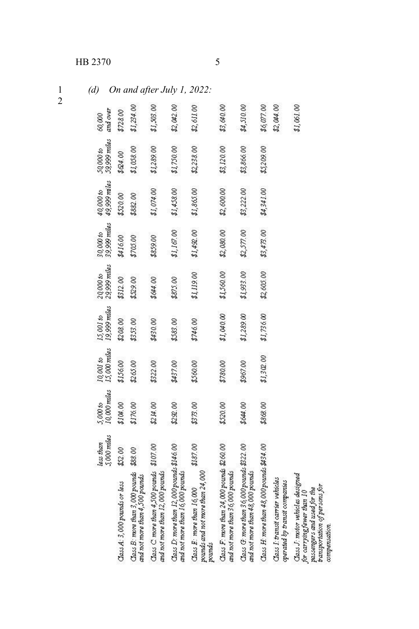# HB 2370

 $\frac{1}{2}$ 

(d) On and after July 1, 2022:

|                                                                                                                                                       | 5,000 miles<br>less than | 10,000 miles<br>5,000 to | 15,000 miles<br>10,001 to | 19,999 miles<br>15,001 to | 29,999 miles<br>200000 | 39,999 miles<br>30,000 to | 49,999 miles<br>40,000 to | 59,999 miles<br>50,000 to | and over<br>60,000 |
|-------------------------------------------------------------------------------------------------------------------------------------------------------|--------------------------|--------------------------|---------------------------|---------------------------|------------------------|---------------------------|---------------------------|---------------------------|--------------------|
| Class A: 3,000 pounds or less                                                                                                                         | \$52.00                  | \$104.00                 | \$156.00                  | \$208.00                  | \$312.00               | \$416.00                  | \$520.00                  | \$&4.00                   | \$728.00           |
| Class B: more than 3,000 pounds<br>and not more than 4,500 pounds                                                                                     | \$88.00                  | \$176.00                 | \$265.00                  | \$353.00                  | \$329.00               | \$705.00                  | \$882.00                  | \$1,058.00                | \$1,234.00         |
| Class $C$ more than $4,500$ pounds $$107.00$<br>and not more than 12,000 pounds                                                                       |                          | \$214.00                 | \$322.00                  | \$430.00                  | \$644.00               | \$859.00                  | \$1,074.00                | \$1,289.00                | \$1,503.00         |
| Class D: more than 12,000 pounds \$146.00<br>and not more than 16,000 pounds                                                                          |                          | \$292.00                 | \$437.00                  | \$583.00                  | \$875.00               | \$1,167.00                | \$1,458.00                | \$1,750.00                | \$2,042.00         |
| pounds and not more than 24,000<br>$\text{Zass } E$ : more than $16,000$<br>pounds                                                                    | \$187.00                 | \$373.00                 | \$560.00                  | \$746.00                  | \$1,119.00             | \$1,492.00                | \$1,865.00                | \$2,238.00                | \$2,611.00         |
| Class F: more than 24,000 pounds \$260.00<br>and not more than 36,000 pounds                                                                          |                          | \$520.00                 | \$780.00                  | \$1,040.00                | \$1,560.00             | \$2,080.00                | \$2,600.00                | \$3,120.00                | \$3,640.00         |
| Class G: more than 36,000 pounds \$322.00<br>and not more than 48,000 pounds                                                                          |                          | \$644.00                 | \$967.00                  | \$1,289.00                | \$1,933.00             | \$2,577.00                | \$3,222.00                | \$3,866.00                | \$4,510.00         |
| Class H: more than 48,000 pounds \$434.00                                                                                                             |                          | \$868.00                 | \$1,302.00                | \$1,736.00                | \$2,605.00             | \$3,473.00                | \$4,341.00                | \$5,209.00                | \$6,077.00         |
| Class I: transit carrier vehicles<br>operated by transit companies                                                                                    |                          |                          |                           |                           |                        |                           |                           |                           | \$2,044.00         |
| Class J: motor vehicles designed<br><i>vansportation of persons for</i><br>passengers and used for the<br>for carrying fewer than 10<br>compensation. |                          |                          |                           |                           |                        |                           |                           |                           | \$1,061.00         |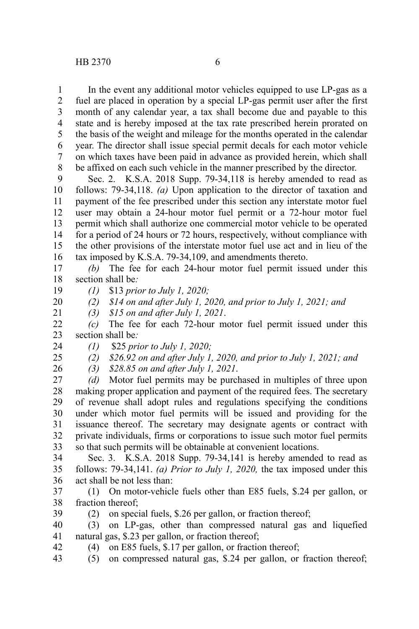In the event any additional motor vehicles equipped to use LP-gas as a fuel are placed in operation by a special LP-gas permit user after the first month of any calendar year, a tax shall become due and payable to this state and is hereby imposed at the tax rate prescribed herein prorated on the basis of the weight and mileage for the months operated in the calendar year. The director shall issue special permit decals for each motor vehicle on which taxes have been paid in advance as provided herein, which shall be affixed on each such vehicle in the manner prescribed by the director. 1 2 3 4 5 6 7 8

Sec. 2. K.S.A. 2018 Supp. 79-34,118 is hereby amended to read as follows: 79-34,118. *(a)* Upon application to the director of taxation and payment of the fee prescribed under this section any interstate motor fuel user may obtain a 24-hour motor fuel permit or a 72-hour motor fuel permit which shall authorize one commercial motor vehicle to be operated for a period of 24 hours or 72 hours, respectively, without compliance with the other provisions of the interstate motor fuel use act and in lieu of the tax imposed by K.S.A. 79-34,109, and amendments thereto. 9 10 11 12 13 14 15 16

*(b)* The fee for each 24-hour motor fuel permit issued under this section shall be*:* 17 18

*(1)* \$13 *prior to July 1, 2020;* 19

*(2) \$14 on and after July 1, 2020, and prior to July 1, 2021; and* 20

*(3) \$15 on and after July 1, 2021*.

*(3) \$28.85 on and after July 1, 2021*.

*(c)* The fee for each 72-hour motor fuel permit issued under this section shall be*:* 22 23

*(1)*  \$25 *prior to July 1, 2020;* 24

*(2) \$26.92 on and after July 1, 2020, and prior to July 1, 2021; and* 25

26

42

21

*(d)* Motor fuel permits may be purchased in multiples of three upon making proper application and payment of the required fees. The secretary of revenue shall adopt rules and regulations specifying the conditions under which motor fuel permits will be issued and providing for the issuance thereof. The secretary may designate agents or contract with private individuals, firms or corporations to issue such motor fuel permits so that such permits will be obtainable at convenient locations. 27 28 29 30 31 32 33

Sec. 3. K.S.A. 2018 Supp. 79-34,141 is hereby amended to read as follows: 79-34,141. *(a) Prior to July 1, 2020,* the tax imposed under this act shall be not less than: 34 35 36

(1) On motor-vehicle fuels other than E85 fuels, \$.24 per gallon, or fraction thereof; 37 38

(2) on special fuels, \$.26 per gallon, or fraction thereof; 39

(3) on LP-gas, other than compressed natural gas and liquefied natural gas, \$.23 per gallon, or fraction thereof; 40 41

(4) on E85 fuels, \$.17 per gallon, or fraction thereof;

 $(5)$  on compressed natural gas, \$.24 per gallon, or fraction thereof; 43